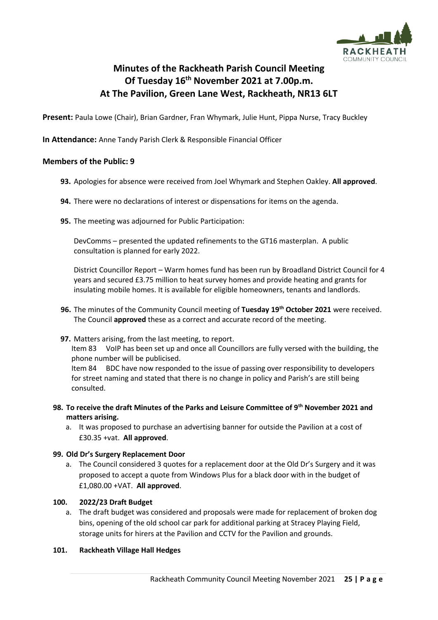

# **Minutes of the Rackheath Parish Council Meeting Of Tuesday 16th November 2021 at 7.00p.m. At The Pavilion, Green Lane West, Rackheath, NR13 6LT**

**Present:** Paula Lowe (Chair), Brian Gardner, Fran Whymark, Julie Hunt, Pippa Nurse, Tracy Buckley

**In Attendance:** Anne Tandy Parish Clerk & Responsible Financial Officer

# **Members of the Public: 9**

- **93.** Apologies for absence were received from Joel Whymark and Stephen Oakley. **All approved**.
- **94.** There were no declarations of interest or dispensations for items on the agenda.
- **95.** The meeting was adjourned for Public Participation:

DevComms – presented the updated refinements to the GT16 masterplan. A public consultation is planned for early 2022.

District Councillor Report – Warm homes fund has been run by Broadland District Council for 4 years and secured £3.75 million to heat survey homes and provide heating and grants for insulating mobile homes. It is available for eligible homeowners, tenants and landlords.

- **96.** The minutes of the Community Council meeting of **Tuesday 19th October 2021** were received. The Council **approved** these as a correct and accurate record of the meeting.
- **97.** Matters arising, from the last meeting, to report.

Item 83 VoIP has been set up and once all Councillors are fully versed with the building, the phone number will be publicised.

Item 84 BDC have now responded to the issue of passing over responsibility to developers for street naming and stated that there is no change in policy and Parish's are still being consulted.

#### **98. To receive the draft Minutes of the Parks and Leisure Committee of 9th November 2021 and matters arising.**

a. It was proposed to purchase an advertising banner for outside the Pavilion at a cost of £30.35 +vat. **All approved**.

#### **99. Old Dr's Surgery Replacement Door**

a. The Council considered 3 quotes for a replacement door at the Old Dr's Surgery and it was proposed to accept a quote from Windows Plus for a black door with in the budget of £1,080.00 +VAT. **All approved**.

#### **100. 2022/23 Draft Budget**

a. The draft budget was considered and proposals were made for replacement of broken dog bins, opening of the old school car park for additional parking at Stracey Playing Field, storage units for hirers at the Pavilion and CCTV for the Pavilion and grounds.

#### **101. Rackheath Village Hall Hedges**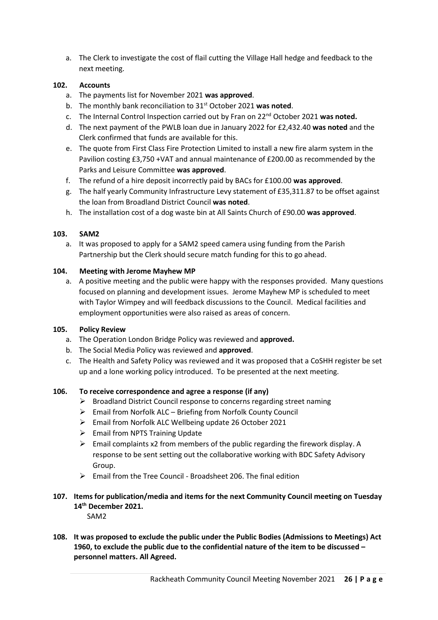a. The Clerk to investigate the cost of flail cutting the Village Hall hedge and feedback to the next meeting.

# **102. Accounts**

- a. The payments list for November 2021 **was approved**.
- b. The monthly bank reconciliation to 31st October 2021 **was noted**.
- c. The Internal Control Inspection carried out by Fran on 22nd October 2021 **was noted.**
- d. The next payment of the PWLB loan due in January 2022 for £2,432.40 **was noted** and the Clerk confirmed that funds are available for this.
- e. The quote from First Class Fire Protection Limited to install a new fire alarm system in the Pavilion costing £3,750 +VAT and annual maintenance of £200.00 as recommended by the Parks and Leisure Committee **was approved**.
- f. The refund of a hire deposit incorrectly paid by BACs for £100.00 **was approved**.
- g. The half yearly Community Infrastructure Levy statement of £35,311.87 to be offset against the loan from Broadland District Council **was noted**.
- h. The installation cost of a dog waste bin at All Saints Church of £90.00 **was approved**.

#### **103. SAM2**

a. It was proposed to apply for a SAM2 speed camera using funding from the Parish Partnership but the Clerk should secure match funding for this to go ahead.

#### **104. Meeting with Jerome Mayhew MP**

a. A positive meeting and the public were happy with the responses provided. Many questions focused on planning and development issues. Jerome Mayhew MP is scheduled to meet with Taylor Wimpey and will feedback discussions to the Council. Medical facilities and employment opportunities were also raised as areas of concern.

#### **105. Policy Review**

- a. The Operation London Bridge Policy was reviewed and **approved.**
- b. The Social Media Policy was reviewed and **approved**.
- c. The Health and Safety Policy was reviewed and it was proposed that a CoSHH register be set up and a lone working policy introduced. To be presented at the next meeting.

#### **106. To receive correspondence and agree a response (if any)**

- ➢ Broadland District Council response to concerns regarding street naming
- ➢ Email from Norfolk ALC Briefing from Norfolk County Council
- ➢ Email from Norfolk ALC Wellbeing update 26 October 2021
- $\triangleright$  Email from NPTS Training Update
- $\triangleright$  Email complaints x2 from members of the public regarding the firework display. A response to be sent setting out the collaborative working with BDC Safety Advisory Group.
- $\triangleright$  Email from the Tree Council Broadsheet 206. The final edition

# **107. Items for publication/media and items for the next Community Council meeting on Tuesday 14th December 2021.**

SAM2

**108. It was proposed to exclude the public under the Public Bodies (Admissions to Meetings) Act 1960, to exclude the public due to the confidential nature of the item to be discussed – personnel matters. All Agreed.**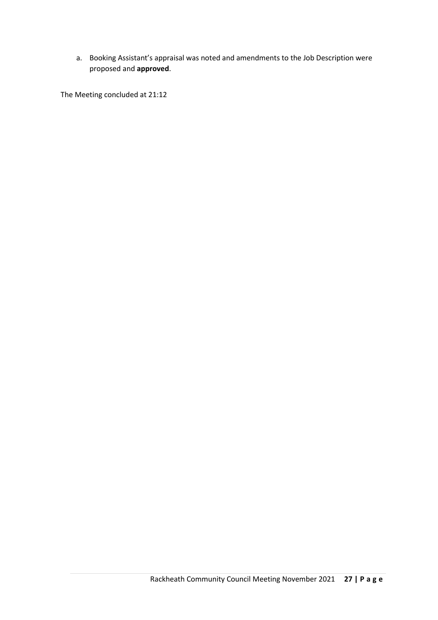a. Booking Assistant's appraisal was noted and amendments to the Job Description were proposed and **approved**.

The Meeting concluded at 21:12